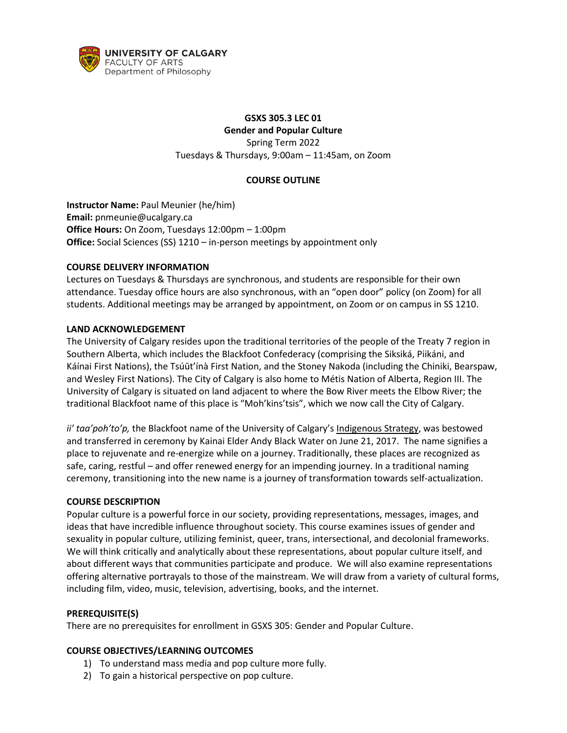

# **GSXS 305.3 LEC 01 Gender and Popular Culture**

Spring Term 2022 Tuesdays & Thursdays, 9:00am – 11:45am, on Zoom

#### **COURSE OUTLINE**

**Instructor Name:** Paul Meunier (he/him) **Email:** pnmeunie@ucalgary.ca **Office Hours:** On Zoom, Tuesdays 12:00pm – 1:00pm **Office:** Social Sciences (SS) 1210 – in-person meetings by appointment only

### **COURSE DELIVERY INFORMATION**

Lectures on Tuesdays & Thursdays are synchronous, and students are responsible for their own attendance. Tuesday office hours are also synchronous, with an "open door" policy (on Zoom) for all students. Additional meetings may be arranged by appointment, on Zoom or on campus in SS 1210.

### **LAND ACKNOWLEDGEMENT**

The University of Calgary resides upon the traditional territories of the people of the Treaty 7 region in Southern Alberta, which includes the Blackfoot Confederacy (comprising the Siksiká, Piikáni, and Káínai First Nations), the Tsúūt'ínà First Nation, and the Stoney Nakoda (including the Chiniki, Bearspaw, and Wesley First Nations). The City of Calgary is also home to Métis Nation of Alberta, Region III. The University of Calgary is situated on land adjacent to where the Bow River meets the Elbow River; the traditional Blackfoot name of this place is "Moh'kins'tsis", which we now call the City of Calgary.

*ii' taa'poh'to'p,* the Blackfoot name of the University of Calgary's [Indigenous Strategy,](https://www.ucalgary.ca/indigenous/ii-taapohtop) was bestowed and transferred in ceremony by Kainai Elder Andy Black Water on June 21, 2017. The name signifies a place to rejuvenate and re-energize while on a journey. Traditionally, these places are recognized as safe, caring, restful – and offer renewed energy for an impending journey. In a traditional naming ceremony, transitioning into the new name is a journey of transformation towards self-actualization.

#### **COURSE DESCRIPTION**

Popular culture is a powerful force in our society, providing representations, messages, images, and ideas that have incredible influence throughout society. This course examines issues of gender and sexuality in popular culture, utilizing feminist, queer, trans, intersectional, and decolonial frameworks. We will think critically and analytically about these representations, about popular culture itself, and about different ways that communities participate and produce. We will also examine representations offering alternative portrayals to those of the mainstream. We will draw from a variety of cultural forms, including film, video, music, television, advertising, books, and the internet.

#### **PREREQUISITE(S)**

There are no prerequisites for enrollment in GSXS 305: Gender and Popular Culture.

#### **COURSE OBJECTIVES/LEARNING OUTCOMES**

- 1) To understand mass media and pop culture more fully.
- 2) To gain a historical perspective on pop culture.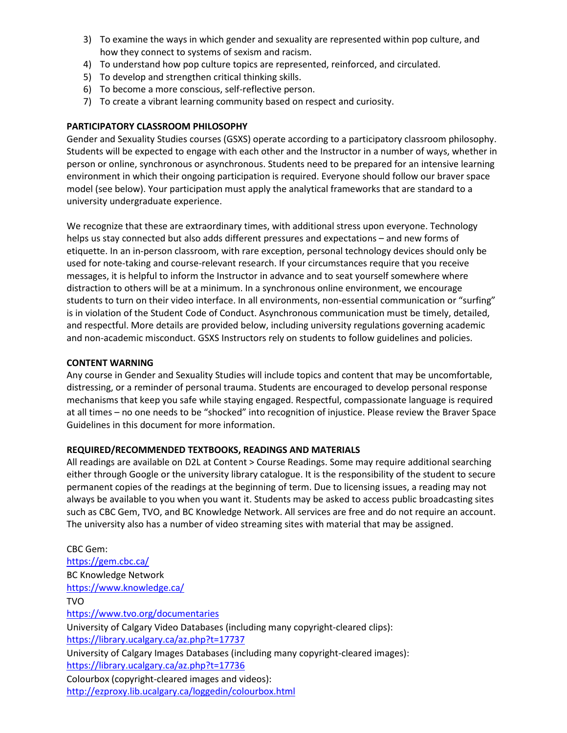- 3) To examine the ways in which gender and sexuality are represented within pop culture, and how they connect to systems of sexism and racism.
- 4) To understand how pop culture topics are represented, reinforced, and circulated.
- 5) To develop and strengthen critical thinking skills.
- 6) To become a more conscious, self-reflective person.
- 7) To create a vibrant learning community based on respect and curiosity.

### **PARTICIPATORY CLASSROOM PHILOSOPHY**

Gender and Sexuality Studies courses (GSXS) operate according to a participatory classroom philosophy. Students will be expected to engage with each other and the Instructor in a number of ways, whether in person or online, synchronous or asynchronous. Students need to be prepared for an intensive learning environment in which their ongoing participation is required. Everyone should follow our braver space model (see below). Your participation must apply the analytical frameworks that are standard to a university undergraduate experience.

We recognize that these are extraordinary times, with additional stress upon everyone. Technology helps us stay connected but also adds different pressures and expectations – and new forms of etiquette. In an in-person classroom, with rare exception, personal technology devices should only be used for note-taking and course-relevant research. If your circumstances require that you receive messages, it is helpful to inform the Instructor in advance and to seat yourself somewhere where distraction to others will be at a minimum. In a synchronous online environment, we encourage students to turn on their video interface. In all environments, non-essential communication or "surfing" is in violation of the Student Code of Conduct. Asynchronous communication must be timely, detailed, and respectful. More details are provided below, including university regulations governing academic and non-academic misconduct. GSXS Instructors rely on students to follow guidelines and policies.

#### **CONTENT WARNING**

Any course in Gender and Sexuality Studies will include topics and content that may be uncomfortable, distressing, or a reminder of personal trauma. Students are encouraged to develop personal response mechanisms that keep you safe while staying engaged. Respectful, compassionate language is required at all times – no one needs to be "shocked" into recognition of injustice. Please review the Braver Space Guidelines in this document for more information.

# **REQUIRED/RECOMMENDED TEXTBOOKS, READINGS AND MATERIALS**

All readings are available on D2L at Content > Course Readings. Some may require additional searching either through Google or the university library catalogue. It is the responsibility of the student to secure permanent copies of the readings at the beginning of term. Due to licensing issues, a reading may not always be available to you when you want it. Students may be asked to access public broadcasting sites such as CBC Gem, TVO, and BC Knowledge Network. All services are free and do not require an account. The university also has a number of video streaming sites with material that may be assigned.

CBC Gem: <https://gem.cbc.ca/> BC Knowledge Network <https://www.knowledge.ca/> TVO <https://www.tvo.org/documentaries> University of Calgary Video Databases (including many copyright-cleared clips): <https://library.ucalgary.ca/az.php?t=17737> University of Calgary Images Databases (including many copyright-cleared images): <https://library.ucalgary.ca/az.php?t=17736> Colourbox (copyright-cleared images and videos): <http://ezproxy.lib.ucalgary.ca/loggedin/colourbox.html>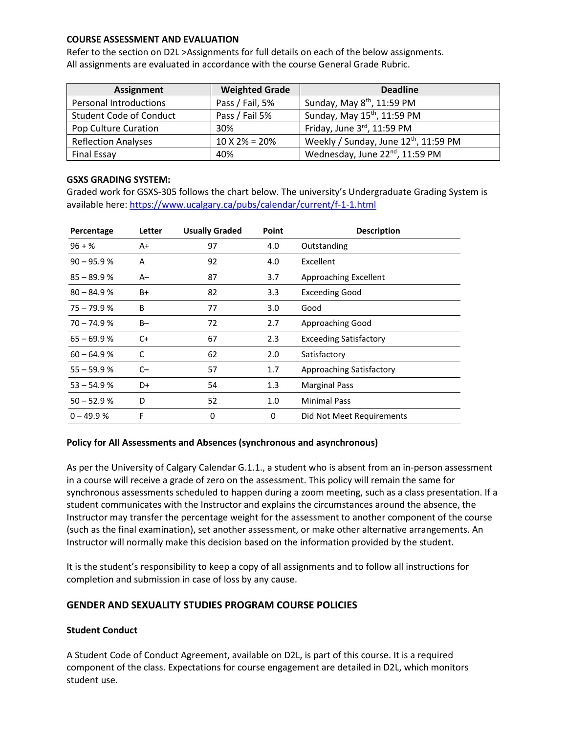#### **COURSE ASSESSMENT AND EVALUATION**

Refer to the section on D2L >Assignments for full details on each of the below assignments. All assignments are evaluated in accordance with the course General Grade Rubric.

| <b>Assignment</b>              | <b>Weighted Grade</b> | <b>Deadline</b>                                   |
|--------------------------------|-----------------------|---------------------------------------------------|
| <b>Personal Introductions</b>  | Pass / Fail, 5%       | Sunday, May 8 <sup>th</sup> , 11:59 PM            |
| <b>Student Code of Conduct</b> | Pass / Fail 5%        | Sunday, May 15 <sup>th</sup> , 11:59 PM           |
| Pop Culture Curation           | 30%                   | Friday, June 3rd, 11:59 PM                        |
| <b>Reflection Analyses</b>     | $10 X 2\% = 20\%$     | Weekly / Sunday, June 12 <sup>th</sup> , 11:59 PM |
| <b>Final Essay</b>             | 40%                   | Wednesday, June 22nd, 11:59 PM                    |

#### **GSXS GRADING SYSTEM:**

Graded work for GSXS-305 follows the chart below. The university's Undergraduate Grading System is available here:<https://www.ucalgary.ca/pubs/calendar/current/f-1-1.html>

| Percentage    | Letter | <b>Usually Graded</b> | Point | <b>Description</b>            |
|---------------|--------|-----------------------|-------|-------------------------------|
| $96 + \%$     | A+     | 97                    | 4.0   | Outstanding                   |
| $90 - 95.9 %$ | A      | 92                    | 4.0   | Excellent                     |
| $85 - 89.9 %$ | $A-$   | 87                    | 3.7   | Approaching Excellent         |
| $80 - 84.9%$  | B+     | 82                    | 3.3   | <b>Exceeding Good</b>         |
| $75 - 79.9 %$ | В      | 77                    | 3.0   | Good                          |
| $70 - 74.9%$  | $B -$  | 72                    | 2.7   | Approaching Good              |
| $65 - 69.9 %$ | C+     | 67                    | 2.3   | <b>Exceeding Satisfactory</b> |
| $60 - 64.9%$  | C      | 62                    | 2.0   | Satisfactory                  |
| $55 - 59.9 %$ | $C-$   | 57                    | 1.7   | Approaching Satisfactory      |
| $53 - 54.9%$  | D+     | 54                    | 1.3   | <b>Marginal Pass</b>          |
| $50 - 52.9 %$ | D      | 52                    | 1.0   | <b>Minimal Pass</b>           |
| $0 - 49.9 %$  | F      | 0                     | 0     | Did Not Meet Requirements     |

#### **Policy for All Assessments and Absences (synchronous and asynchronous)**

As per the University of Calgary Calendar G.1.1., a student who is absent from an in-person assessment in a course will receive a grade of zero on the assessment. This policy will remain the same for synchronous assessments scheduled to happen during a zoom meeting, such as a class presentation. If a student communicates with the Instructor and explains the circumstances around the absence, the Instructor may transfer the percentage weight for the assessment to another component of the course (such as the final examination), set another assessment, or make other alternative arrangements. An Instructor will normally make this decision based on the information provided by the student.

It is the student's responsibility to keep a copy of all assignments and to follow all instructions for completion and submission in case of loss by any cause.

#### **GENDER AND SEXUALITY STUDIES PROGRAM COURSE POLICIES**

#### **Student Conduct**

A Student Code of Conduct Agreement, available on D2L, is part of this course. It is a required component of the class. Expectations for course engagement are detailed in D2L, which monitors student use.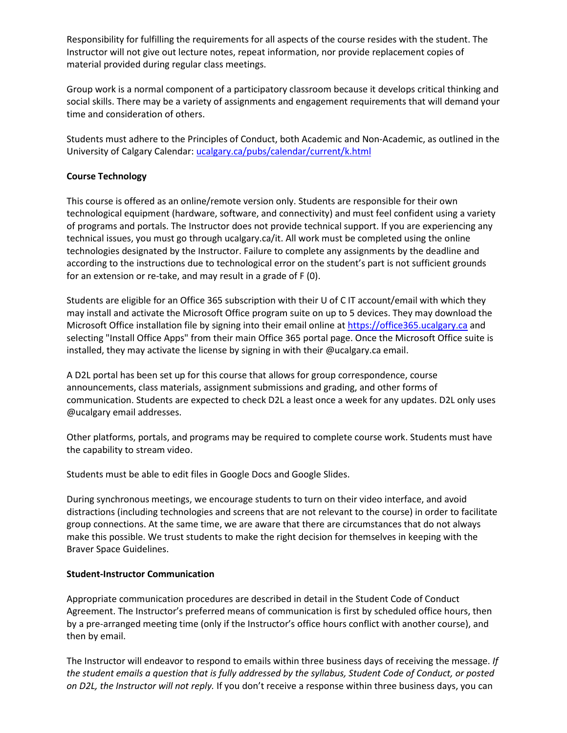Responsibility for fulfilling the requirements for all aspects of the course resides with the student. The Instructor will not give out lecture notes, repeat information, nor provide replacement copies of material provided during regular class meetings.

Group work is a normal component of a participatory classroom because it develops critical thinking and social skills. There may be a variety of assignments and engagement requirements that will demand your time and consideration of others.

Students must adhere to the Principles of Conduct, both Academic and Non-Academic, as outlined in the University of Calgary Calendar: [ucalgary.ca/pubs/calendar/current/k.html](https://ucalgary.ca/pubs/calendar/current/k.html)

#### **Course Technology**

This course is offered as an online/remote version only. Students are responsible for their own technological equipment (hardware, software, and connectivity) and must feel confident using a variety of programs and portals. The Instructor does not provide technical support. If you are experiencing any technical issues, you must go through ucalgary.ca/it. All work must be completed using the online technologies designated by the Instructor. Failure to complete any assignments by the deadline and according to the instructions due to technological error on the student's part is not sufficient grounds for an extension or re-take, and may result in a grade of F (0).

Students are eligible for an Office 365 subscription with their U of C IT account/email with which they may install and activate the Microsoft Office program suite on up to 5 devices. They may download the Microsoft Office installation file by signing into their email online at [https://office365.ucalgary.ca](https://office365.ucalgary.ca/) and selecting "Install Office Apps" from their main Office 365 portal page. Once the Microsoft Office suite is installed, they may activate the license by signing in with their @ucalgary.ca email.

A D2L portal has been set up for this course that allows for group correspondence, course announcements, class materials, assignment submissions and grading, and other forms of communication. Students are expected to check D2L a least once a week for any updates. D2L only uses @ucalgary email addresses.

Other platforms, portals, and programs may be required to complete course work. Students must have the capability to stream video.

Students must be able to edit files in Google Docs and Google Slides.

During synchronous meetings, we encourage students to turn on their video interface, and avoid distractions (including technologies and screens that are not relevant to the course) in order to facilitate group connections. At the same time, we are aware that there are circumstances that do not always make this possible. We trust students to make the right decision for themselves in keeping with the Braver Space Guidelines.

#### **Student-Instructor Communication**

Appropriate communication procedures are described in detail in the Student Code of Conduct Agreement. The Instructor's preferred means of communication is first by scheduled office hours, then by a pre-arranged meeting time (only if the Instructor's office hours conflict with another course), and then by email.

The Instructor will endeavor to respond to emails within three business days of receiving the message. *If the student emails a question that is fully addressed by the syllabus, Student Code of Conduct, or posted on D2L, the Instructor will not reply.* If you don't receive a response within three business days, you can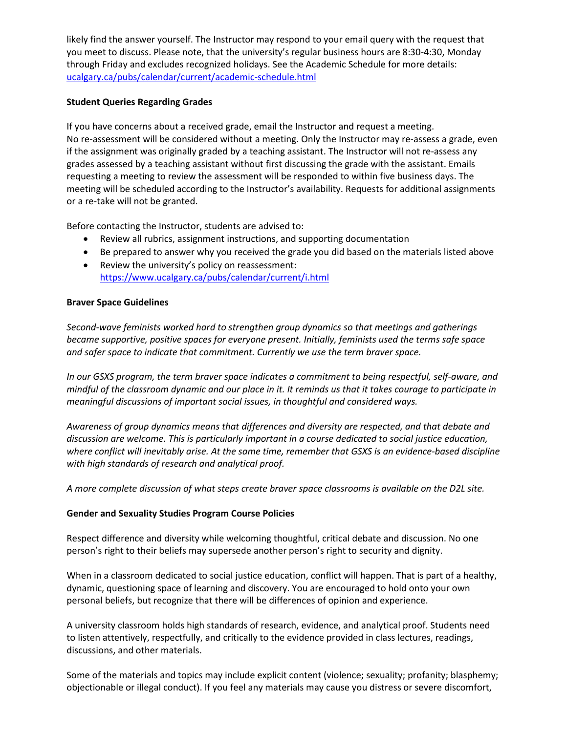likely find the answer yourself. The Instructor may respond to your email query with the request that you meet to discuss. Please note, that the university's regular business hours are 8:30-4:30, Monday through Friday and excludes recognized holidays. See the Academic Schedule for more details: [ucalgary.ca/pubs/calendar/current/academic-schedule.html](https://ucalgary.ca/pubs/calendar/current/academic-schedule.html)

#### **Student Queries Regarding Grades**

If you have concerns about a received grade, email the Instructor and request a meeting. No re-assessment will be considered without a meeting. Only the Instructor may re-assess a grade, even if the assignment was originally graded by a teaching assistant. The Instructor will not re-assess any grades assessed by a teaching assistant without first discussing the grade with the assistant. Emails requesting a meeting to review the assessment will be responded to within five business days. The meeting will be scheduled according to the Instructor's availability. Requests for additional assignments or a re-take will not be granted.

Before contacting the Instructor, students are advised to:

- Review all rubrics, assignment instructions, and supporting documentation
- Be prepared to answer why you received the grade you did based on the materials listed above
- Review the university's policy on reassessment: <https://www.ucalgary.ca/pubs/calendar/current/i.html>

### **Braver Space Guidelines**

*Second-wave feminists worked hard to strengthen group dynamics so that meetings and gatherings became supportive, positive spaces for everyone present. Initially, feminists used the terms safe space and safer space to indicate that commitment. Currently we use the term braver space.*

*In our GSXS program, the term braver space indicates a commitment to being respectful, self-aware, and* mindful of the classroom dynamic and our place in it. It reminds us that it takes courage to participate in *meaningful discussions of important social issues, in thoughtful and considered ways.* 

*Awareness of group dynamics means that differences and diversity are respected, and that debate and discussion are welcome. This is particularly important in a course dedicated to social justice education, where conflict will inevitably arise. At the same time, remember that GSXS is an evidence-based discipline with high standards of research and analytical proof.*

*A more complete discussion of what steps create braver space classrooms is available on the D2L site.*

# **Gender and Sexuality Studies Program Course Policies**

Respect difference and diversity while welcoming thoughtful, critical debate and discussion. No one person's right to their beliefs may supersede another person's right to security and dignity.

When in a classroom dedicated to social justice education, conflict will happen. That is part of a healthy, dynamic, questioning space of learning and discovery. You are encouraged to hold onto your own personal beliefs, but recognize that there will be differences of opinion and experience.

A university classroom holds high standards of research, evidence, and analytical proof. Students need to listen attentively, respectfully, and critically to the evidence provided in class lectures, readings, discussions, and other materials.

Some of the materials and topics may include explicit content (violence; sexuality; profanity; blasphemy; objectionable or illegal conduct). If you feel any materials may cause you distress or severe discomfort,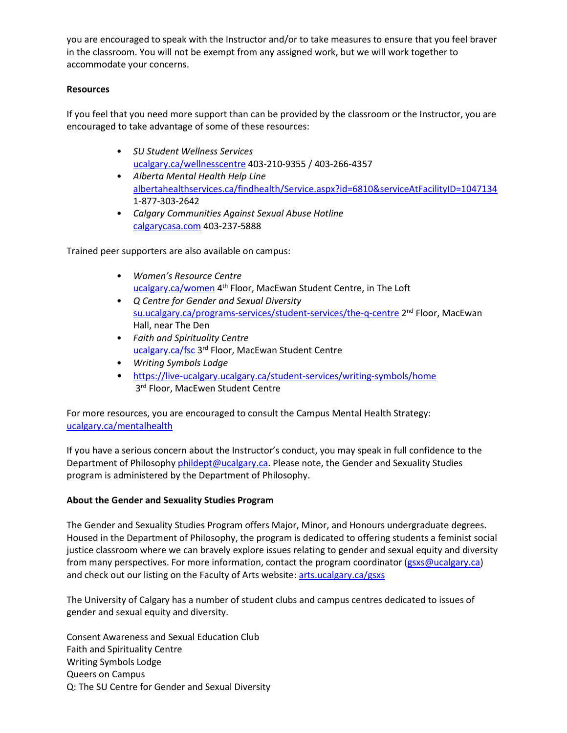you are encouraged to speak with the Instructor and/or to take measures to ensure that you feel braver in the classroom. You will not be exempt from any assigned work, but we will work together to accommodate your concerns.

### **Resources**

If you feel that you need more support than can be provided by the classroom or the Instructor, you are encouraged to take advantage of some of these resources:

- *SU Student Wellness Services* [ucalgary.ca/wellnesscentre](http://www.ucalgary.ca/wellnesscentre/) 403-210-9355 / 403-266-4357
- *Alberta Mental Health Help Line* [albertahealthservices.ca/findhealth/Service.aspx?id=6810&serviceAtFacilityID=1047134](https://www.albertahealthservices.ca/findhealth/Service.aspx?id=6810&serviceAtFacilityID=1047134)  1-877-303-2642
- *Calgary Communities Against Sexual Abuse Hotline* [calgarycasa.com](http://www.calgarycasa.com/) 403-237-5888

Trained peer supporters are also available on campus:

- *Women's Resource Centre*  [ucalgary.ca/women](https://www.ucalgary.ca/student-services/womens-centre/home) 4<sup>th</sup> Floor, MacEwan Student Centre, in The Loft
- *Q Centre for Gender and Sexual Diversity*  [su.ucalgary.ca/programs-services/student-services/the-q-centre](https://www.su.ucalgary.ca/programs-services/student-services/the-q-centre/) 2<sup>nd</sup> Floor, MacEwan Hall, near The Den
- *Faith and Spirituality Centre* [ucalgary.ca/fsc](https://ucalgary.ca/fsc) 3rd Floor, MacEwan Student Centre
- *Writing Symbols Lodge*
- <https://live-ucalgary.ucalgary.ca/student-services/writing-symbols/home> 3rd Floor, MacEwen Student Centre

For more resources, you are encouraged to consult the Campus Mental Health Strategy: [ucalgary.ca/mentalhealth](http://www.ucalgary.ca/mentalhealth)

If you have a serious concern about the Instructor's conduct, you may speak in full confidence to the Department of Philosophy [phildept@ucalgary.ca.](mailto:phildept@ucalgary.ca) Please note, the Gender and Sexuality Studies program is administered by the Department of Philosophy.

# **About the Gender and Sexuality Studies Program**

The Gender and Sexuality Studies Program offers Major, Minor, and Honours undergraduate degrees. Housed in the Department of Philosophy, the program is dedicated to offering students a feminist social justice classroom where we can bravely explore issues relating to gender and sexual equity and diversity from many perspectives. For more information, contact the program coordinator [\(gsxs@ucalgary.ca\)](mailto:wmstprog@ucalgary.ca) and check out our listing on the Faculty of Arts website: [arts.ucalgary.ca/gsxs](https://arts.ucalgary.ca/womens-studies)

The University of Calgary has a number of student clubs and campus centres dedicated to issues of gender and sexual equity and diversity.

Consent Awareness and Sexual Education Club Faith and Spirituality Centre Writing Symbols Lodge Queers on Campus Q: The SU Centre for Gender and Sexual Diversity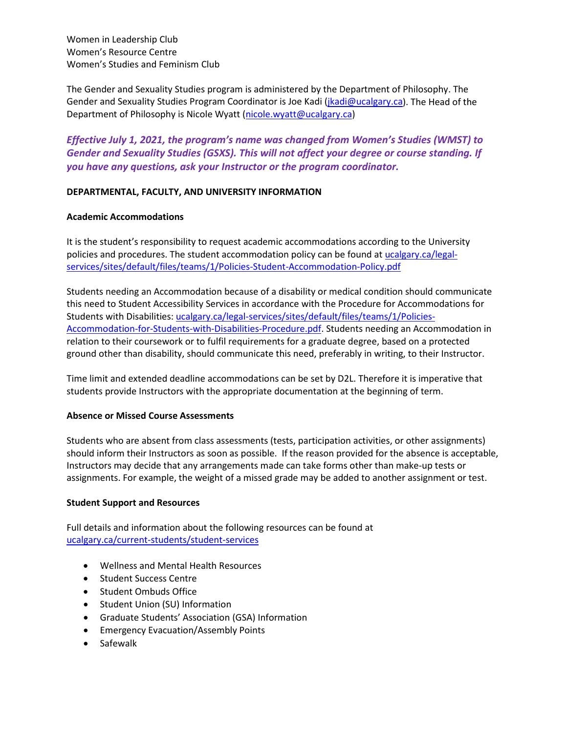Women in Leadership Club Women's Resource Centre Women's Studies and Feminism Club

The Gender and Sexuality Studies program is administered by the Department of Philosophy. The Gender and Sexuality Studies Program Coordinator is Joe Kadi [\(jkadi@ucalgary.ca\)](mailto:jkadi@ucalgary.ca). The Head of the Department of Philosophy is Nicole Wyatt [\(nicole.wyatt@ucalgary.ca\)](mailto:nicole.wyatt@ucalgary.ca)

*Effective July 1, 2021, the program's name was changed from Women's Studies (WMST) to Gender and Sexuality Studies (GSXS). This will not affect your degree or course standing. If you have any questions, ask your Instructor or the program coordinator.*

#### **DEPARTMENTAL, FACULTY, AND UNIVERSITY INFORMATION**

#### **Academic Accommodations**

It is the student's responsibility to request academic accommodations according to the University policies and procedures. The student accommodation policy can be found a[t ucalgary.ca/legal](http://www.ucalgary.ca/legal-services/sites/default/files/teams/1/Policies-Student-Accommodation-Policy.pdf)[services/sites/default/files/teams/1/Policies-Student-Accommodation-Policy.pdf](http://www.ucalgary.ca/legal-services/sites/default/files/teams/1/Policies-Student-Accommodation-Policy.pdf)

Students needing an Accommodation because of a disability or medical condition should communicate this need to Student Accessibility Services in accordance with the Procedure for Accommodations for Students with Disabilities: [ucalgary.ca/legal-services/sites/default/files/teams/1/Policies-](https://www.ucalgary.ca/legal-services/sites/default/files/teams/1/Policies-Accommodation-for-Students-with-Disabilities-Procedure.pdf)[Accommodation-for-Students-with-Disabilities-Procedure.pdf.](https://www.ucalgary.ca/legal-services/sites/default/files/teams/1/Policies-Accommodation-for-Students-with-Disabilities-Procedure.pdf) Students needing an Accommodation in relation to their coursework or to fulfil requirements for a graduate degree, based on a protected ground other than disability, should communicate this need, preferably in writing, to their Instructor.

Time limit and extended deadline accommodations can be set by D2L. Therefore it is imperative that students provide Instructors with the appropriate documentation at the beginning of term.

#### **Absence or Missed Course Assessments**

Students who are absent from class assessments (tests, participation activities, or other assignments) should inform their Instructors as soon as possible. If the reason provided for the absence is acceptable, Instructors may decide that any arrangements made can take forms other than make-up tests or assignments. For example, the weight of a missed grade may be added to another assignment or test.

#### **Student Support and Resources**

Full details and information about the following resources can be found a[t](https://www.ucalgary.ca/current-students/student-services)  [ucalgary.ca/current-students/student-services](https://www.ucalgary.ca/current-students/student-services)

- Wellness and Mental Health Resources
- Student Success Centre
- Student Ombuds Office
- Student Union (SU) Information
- Graduate Students' Association (GSA) Information
- Emergency Evacuation/Assembly Points
- Safewalk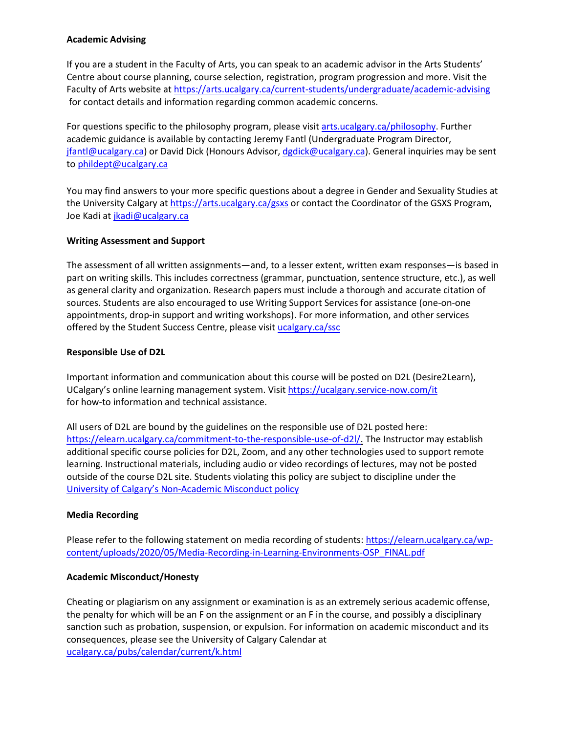#### **Academic Advising**

If you are a student in the Faculty of Arts, you can speak to an academic advisor in the Arts Students' Centre about course planning, course selection, registration, program progression and more. Visit the Faculty of Arts website at<https://arts.ucalgary.ca/current-students/undergraduate/academic-advising> for contact details and information regarding common academic concerns.

For questions specific to the philosophy program, please visit arts.ucalgary.ca/philosophy. Further academic guidance is available by contacting Jeremy Fantl (Undergraduate Program Director, [jfantl@ucalgary.ca\)](mailto:jfantl@ucalgary.ca) or David Dick (Honours Advisor, [dgdick@ucalgary.ca\)](mailto:dgdick@ucalgary.ca). General inquiries may be sent to [phildept@ucalgary.ca](mailto:phildept@ucalgary.ca)

You may find answers to your more specific questions about a degree in Gender and Sexuality Studies at the University Calgary at<https://arts.ucalgary.ca/gsxs> or contact the Coordinator of the GSXS Program, Joe Kadi a[t jkadi@ucalgary.ca](mailto:jkadi@ucalgary.ca)

### **Writing Assessment and Support**

The assessment of all written assignments—and, to a lesser extent, written exam responses—is based in part on writing skills. This includes correctness (grammar, punctuation, sentence structure, etc.), as well as general clarity and organization. Research papers must include a thorough and accurate citation of sources. Students are also encouraged to use Writing Support Services for assistance (one-on-one appointments, drop-in support and writing workshops). For more information, and other services offered by the Student Success Centre, please visit [ucalgary.ca/ssc](https://ucalgary.ca/ssc)

#### **Responsible Use of D2L**

Important information and communication about this course will be posted on D2L (Desire2Learn), UCalgary's online learning management system. Visit<https://ucalgary.service-now.com/it> for how-to information and technical assistance.

All users of D2L are bound by the guidelines on the responsible use of D2L posted here: [https://elearn.ucalgary.ca/commitment-to-the-responsible-use-of-d2l/.](https://elearn.ucalgary.ca/commitment-to-the-responsible-use-of-d2l/) The Instructor may establish additional specific course policies for D2L, Zoom, and any other technologies used to support remote learning. Instructional materials, including audio or video recordings of lectures, may not be posted outside of the course D2L site. Students violating this policy are subject to discipline under the [University of Calgary's Non-Academic Misconduct policy](https://www.ucalgary.ca/legal-services/sites/default/files/teams/1/Policies-Student-Non-Academic-Misconduct-Policy.pdf)

# **Media Recording**

Please refer to the following statement on media recording of students: [https://elearn.ucalgary.ca/wp](https://elearn.ucalgary.ca/wp-content/uploads/2020/05/Media-Recording-in-Learning-Environments-OSP_FINAL.pdf)[content/uploads/2020/05/Media-Recording-in-Learning-Environments-OSP\\_FINAL.pdf](https://elearn.ucalgary.ca/wp-content/uploads/2020/05/Media-Recording-in-Learning-Environments-OSP_FINAL.pdf)

#### **Academic Misconduct/Honesty**

Cheating or plagiarism on any assignment or examination is as an extremely serious academic offense, the penalty for which will be an F on the assignment or an F in the course, and possibly a disciplinary sanction such as probation, suspension, or expulsion. For information on academic misconduct and its consequences, please see the University of Calgary Calendar at [ucalgary.ca/pubs/calendar/current/k.html](https://www.ucalgary.ca/pubs/calendar/current/k.html)